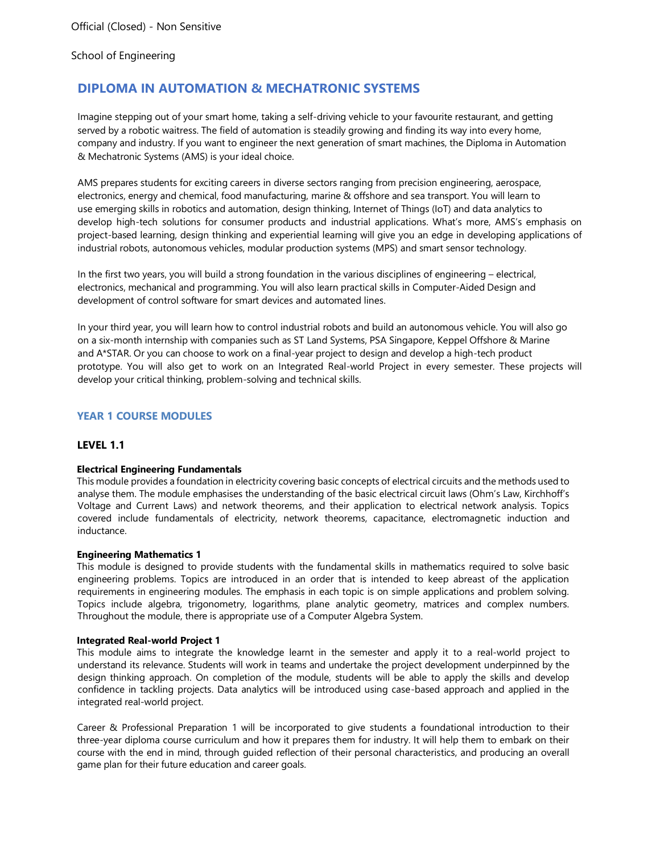# **DIPLOMA IN AUTOMATION & MECHATRONIC SYSTEMS**

Imagine stepping out of your smart home, taking a self-driving vehicle to your favourite restaurant, and getting served by a robotic waitress. The field of automation is steadily growing and finding its way into every home, company and industry. If you want to engineer the next generation of smart machines, the Diploma in Automation & Mechatronic Systems (AMS) is your ideal choice.

AMS prepares students for exciting careers in diverse sectors ranging from precision engineering, aerospace, electronics, energy and chemical, food manufacturing, marine & offshore and sea transport. You will learn to use emerging skills in robotics and automation, design thinking, Internet of Things (IoT) and data analytics to develop high-tech solutions for consumer products and industrial applications. What's more, AMS's emphasis on project-based learning, design thinking and experiential learning will give you an edge in developing applications of industrial robots, autonomous vehicles, modular production systems (MPS) and smart sensor technology.

In the first two years, you will build a strong foundation in the various disciplines of engineering – electrical, electronics, mechanical and programming. You will also learn practical skills in Computer-Aided Design and development of control software for smart devices and automated lines.

In your third year, you will learn how to control industrial robots and build an autonomous vehicle. You will also go on a six-month internship with companies such as ST Land Systems, PSA Singapore, Keppel Offshore & Marine and A\*STAR. Or you can choose to work on a final-year project to design and develop a high-tech product prototype. You will also get to work on an Integrated Real-world Project in every semester. These projects will develop your critical thinking, problem-solving and technical skills.

# **YEAR 1 COURSE MODULES**

## **LEVEL 1.1**

### **Electrical Engineering Fundamentals**

This module provides a foundation in electricity covering basic concepts of electrical circuits and the methods used to analyse them. The module emphasises the understanding of the basic electrical circuit laws (Ohm's Law, Kirchhoff's Voltage and Current Laws) and network theorems, and their application to electrical network analysis. Topics covered include fundamentals of electricity, network theorems, capacitance, electromagnetic induction and inductance.

#### **Engineering Mathematics 1**

This module is designed to provide students with the fundamental skills in mathematics required to solve basic engineering problems. Topics are introduced in an order that is intended to keep abreast of the application requirements in engineering modules. The emphasis in each topic is on simple applications and problem solving. Topics include algebra, trigonometry, logarithms, plane analytic geometry, matrices and complex numbers. Throughout the module, there is appropriate use of a Computer Algebra System.

#### **Integrated Real-world Project 1**

This module aims to integrate the knowledge learnt in the semester and apply it to a real-world project to understand its relevance. Students will work in teams and undertake the project development underpinned by the design thinking approach. On completion of the module, students will be able to apply the skills and develop confidence in tackling projects. Data analytics will be introduced using case-based approach and applied in the integrated real-world project.

Career & Professional Preparation 1 will be incorporated to give students a foundational introduction to their three-year diploma course curriculum and how it prepares them for industry. It will help them to embark on their course with the end in mind, through guided reflection of their personal characteristics, and producing an overall game plan for their future education and career goals.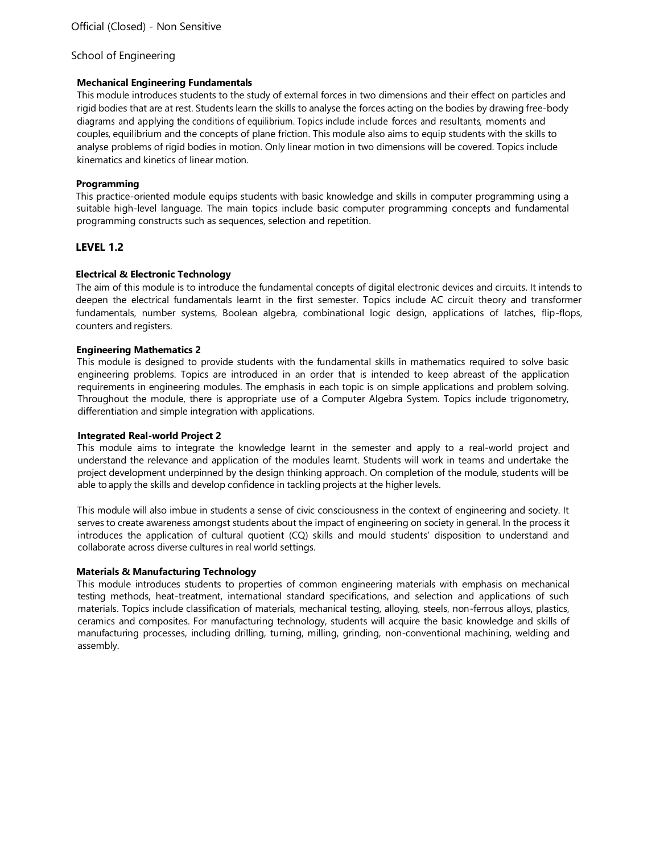### **Mechanical Engineering Fundamentals**

This module introduces students to the study of external forces in two dimensions and their effect on particles and rigid bodies that are at rest. Students learn the skills to analyse the forces acting on the bodies by drawing free-body diagrams and applying the conditions of equilibrium. Topics include include forces and resultants, moments and couples, equilibrium and the concepts of plane friction. This module also aims to equip students with the skills to analyse problems of rigid bodies in motion. Only linear motion in two dimensions will be covered. Topics include kinematics and kinetics of linear motion.

## **Programming**

This practice-oriented module equips students with basic knowledge and skills in computer programming using a suitable high-level language. The main topics include basic computer programming concepts and fundamental programming constructs such as sequences, selection and repetition.

## **LEVEL 1.2**

## **Electrical & Electronic Technology**

The aim of this module is to introduce the fundamental concepts of digital electronic devices and circuits. It intends to deepen the electrical fundamentals learnt in the first semester. Topics include AC circuit theory and transformer fundamentals, number systems, Boolean algebra, combinational logic design, applications of latches, flip-flops, counters and registers.

### **Engineering Mathematics 2**

This module is designed to provide students with the fundamental skills in mathematics required to solve basic engineering problems. Topics are introduced in an order that is intended to keep abreast of the application requirements in engineering modules. The emphasis in each topic is on simple applications and problem solving. Throughout the module, there is appropriate use of a Computer Algebra System. Topics include trigonometry, differentiation and simple integration with applications.

### **Integrated Real-world Project 2**

This module aims to integrate the knowledge learnt in the semester and apply to a real-world project and understand the relevance and application of the modules learnt. Students will work in teams and undertake the project development underpinned by the design thinking approach. On completion of the module, students will be able to apply the skills and develop confidence in tackling projects at the higher levels.

This module will also imbue in students a sense of civic consciousness in the context of engineering and society. It serves to create awareness amongst students about the impact of engineering on society in general. In the process it introduces the application of cultural quotient (CQ) skills and mould students' disposition to understand and collaborate across diverse cultures in real world settings.

### **Materials & Manufacturing Technology**

This module introduces students to properties of common engineering materials with emphasis on mechanical testing methods, heat-treatment, international standard specifications, and selection and applications of such materials. Topics include classification of materials, mechanical testing, alloying, steels, non-ferrous alloys, plastics, ceramics and composites. For manufacturing technology, students will acquire the basic knowledge and skills of manufacturing processes, including drilling, turning, milling, grinding, non-conventional machining, welding and assembly.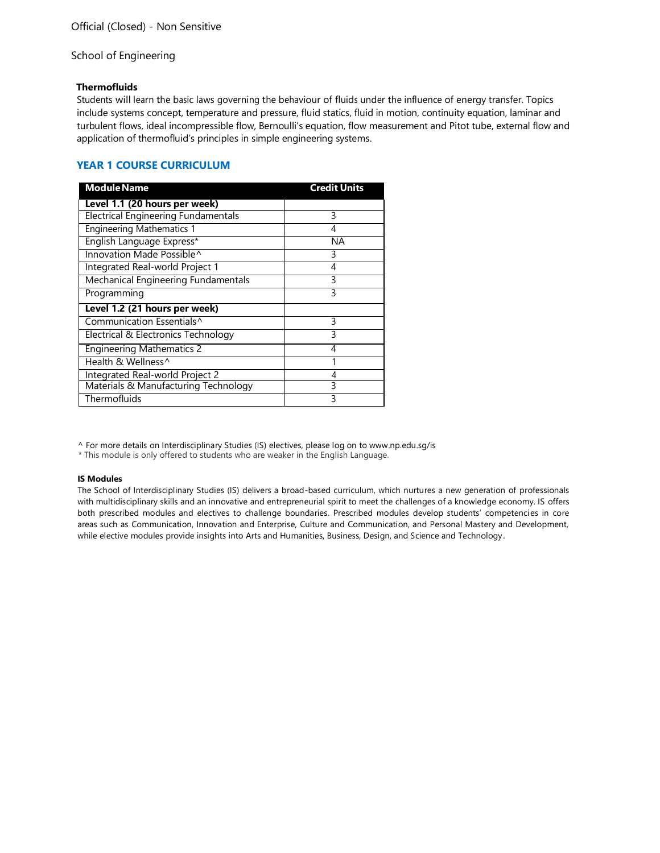### **Thermofluids**

Students will learn the basic laws governing the behaviour of fluids under the influence of energy transfer. Topics include systems concept, temperature and pressure, fluid statics, fluid in motion, continuity equation, laminar and turbulent flows, ideal incompressible flow, Bernoulli's equation, flow measurement and Pitot tube, external flow and application of thermofluid's principles in simple engineering systems.

## **YEAR 1 COURSE CURRICULUM**

| <b>Module Name</b>                         | <b>Credit Units</b> |
|--------------------------------------------|---------------------|
| Level 1.1 (20 hours per week)              |                     |
| <b>Electrical Engineering Fundamentals</b> | 3                   |
| <b>Engineering Mathematics 1</b>           | 4                   |
| English Language Express*                  | ΝA                  |
| Innovation Made Possible^                  | 3                   |
| Integrated Real-world Project 1            | 4                   |
| <b>Mechanical Engineering Fundamentals</b> | 3                   |
| Programming                                | ς                   |
| Level 1.2 (21 hours per week)              |                     |
| Communication Essentials <sup>^</sup>      | 3                   |
| Electrical & Electronics Technology        | ς                   |
| <b>Engineering Mathematics 2</b>           | 4                   |
| Health & Wellness^                         |                     |
| Integrated Real-world Project 2            | 4                   |
| Materials & Manufacturing Technology       | 3                   |
| Thermofluids                               | $\mathbf{R}$        |

[^ For more details on Interdisciplinary Studies \(IS\) electives, please log on to www.np.edu.sg/is](http://www.np.edu.sg/is)

\* This module is only offered to students who are weaker in the English Language.

### **IS Modules**

The School of Interdisciplinary Studies (IS) delivers a broad-based curriculum, which nurtures a new generation of professionals with multidisciplinary skills and an innovative and entrepreneurial spirit to meet the challenges of a knowledge economy. IS offers both prescribed modules and electives to challenge boundaries. Prescribed modules develop students' competencies in core areas such as Communication, Innovation and Enterprise, Culture and Communication, and Personal Mastery and Development, while elective modules provide insights into Arts and Humanities, Business, Design, and Science and Technology.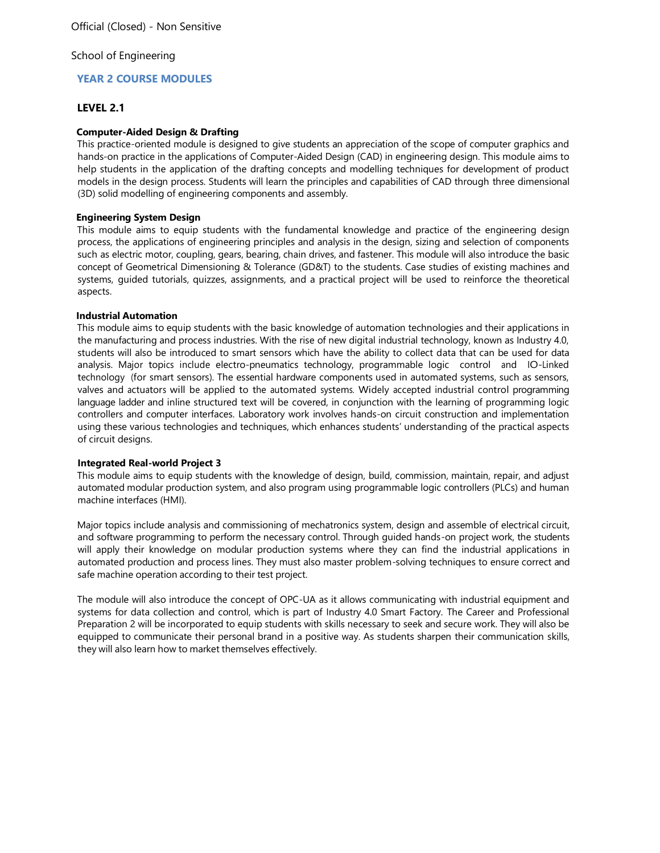## **YEAR 2 COURSE MODULES**

## **LEVEL 2.1**

### **Computer-Aided Design & Drafting**

This practice-oriented module is designed to give students an appreciation of the scope of computer graphics and hands-on practice in the applications of Computer-Aided Design (CAD) in engineering design. This module aims to help students in the application of the drafting concepts and modelling techniques for development of product models in the design process. Students will learn the principles and capabilities of CAD through three dimensional (3D) solid modelling of engineering components and assembly.

### **Engineering System Design**

This module aims to equip students with the fundamental knowledge and practice of the engineering design process, the applications of engineering principles and analysis in the design, sizing and selection of components such as electric motor, coupling, gears, bearing, chain drives, and fastener. This module will also introduce the basic concept of Geometrical Dimensioning & Tolerance (GD&T) to the students. Case studies of existing machines and systems, guided tutorials, quizzes, assignments, and a practical project will be used to reinforce the theoretical aspects.

### **Industrial Automation**

This module aims to equip students with the basic knowledge of automation technologies and their applications in the manufacturing and process industries. With the rise of new digital industrial technology, known as Industry 4.0, students will also be introduced to smart sensors which have the ability to collect data that can be used for data analysis. Major topics include electro-pneumatics technology, programmable logic control and IO-Linked technology (for smart sensors). The essential hardware components used in automated systems, such as sensors, valves and actuators will be applied to the automated systems. Widely accepted industrial control programming language ladder and inline structured text will be covered, in conjunction with the learning of programming logic controllers and computer interfaces. Laboratory work involves hands-on circuit construction and implementation using these various technologies and techniques, which enhances students' understanding of the practical aspects of circuit designs.

### **Integrated Real-world Project 3**

This module aims to equip students with the knowledge of design, build, commission, maintain, repair, and adjust automated modular production system, and also program using programmable logic controllers (PLCs) and human machine interfaces (HMI).

Major topics include analysis and commissioning of mechatronics system, design and assemble of electrical circuit, and software programming to perform the necessary control. Through guided hands-on project work, the students will apply their knowledge on modular production systems where they can find the industrial applications in automated production and process lines. They must also master problem-solving techniques to ensure correct and safe machine operation according to their test project.

The module will also introduce the concept of OPC-UA as it allows communicating with industrial equipment and systems for data collection and control, which is part of Industry 4.0 Smart Factory. The Career and Professional Preparation 2 will be incorporated to equip students with skills necessary to seek and secure work. They will also be equipped to communicate their personal brand in a positive way. As students sharpen their communication skills, they will also learn how to market themselves effectively.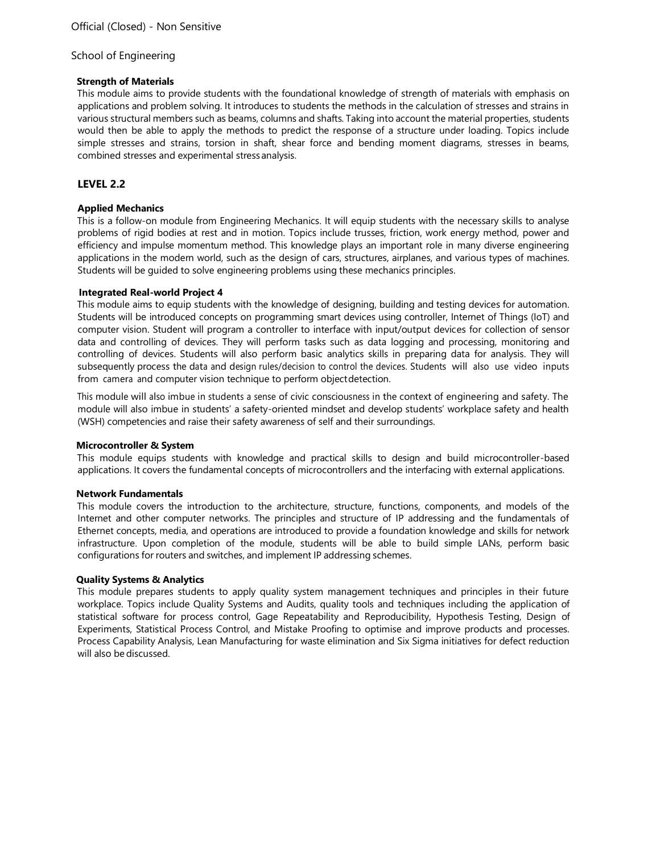### **Strength of Materials**

This module aims to provide students with the foundational knowledge of strength of materials with emphasis on applications and problem solving. It introduces to students the methods in the calculation of stresses and strains in various structural members such as beams, columns and shafts. Taking into account the material properties, students would then be able to apply the methods to predict the response of a structure under loading. Topics include simple stresses and strains, torsion in shaft, shear force and bending moment diagrams, stresses in beams, combined stresses and experimental stressanalysis.

## **LEVEL 2.2**

## **Applied Mechanics**

This is a follow-on module from Engineering Mechanics. It will equip students with the necessary skills to analyse problems of rigid bodies at rest and in motion. Topics include trusses, friction, work energy method, power and efficiency and impulse momentum method. This knowledge plays an important role in many diverse engineering applications in the modern world, such as the design of cars, structures, airplanes, and various types of machines. Students will be guided to solve engineering problems using these mechanics principles.

## **Integrated Real-world Project 4**

This module aims to equip students with the knowledge of designing, building and testing devices for automation. Students will be introduced concepts on programming smart devices using controller, Internet of Things (IoT) and computer vision. Student will program a controller to interface with input/output devices for collection of sensor data and controlling of devices. They will perform tasks such as data logging and processing, monitoring and controlling of devices. Students will also perform basic analytics skills in preparing data for analysis. They will subsequently process the data and design rules/decision to control the devices. Students will also use video inputs from camera and computer vision technique to perform objectdetection.

This module will also imbue in students a sense of civic consciousness in the context of engineering and safety. The module will also imbue in students' a safety-oriented mindset and develop students' workplace safety and health (WSH) competencies and raise their safety awareness of self and their surroundings.

### **Microcontroller & System**

This module equips students with knowledge and practical skills to design and build microcontroller-based applications. It covers the fundamental concepts of microcontrollers and the interfacing with external applications.

### **Network Fundamentals**

This module covers the introduction to the architecture, structure, functions, components, and models of the Internet and other computer networks. The principles and structure of IP addressing and the fundamentals of Ethernet concepts, media, and operations are introduced to provide a foundation knowledge and skills for network infrastructure. Upon completion of the module, students will be able to build simple LANs, perform basic configurations for routers and switches, and implement IP addressing schemes.

### **Quality Systems & Analytics**

This module prepares students to apply quality system management techniques and principles in their future workplace. Topics include Quality Systems and Audits, quality tools and techniques including the application of statistical software for process control, Gage Repeatability and Reproducibility, Hypothesis Testing, Design of Experiments, Statistical Process Control, and Mistake Proofing to optimise and improve products and processes. Process Capability Analysis, Lean Manufacturing for waste elimination and Six Sigma initiatives for defect reduction will also be discussed.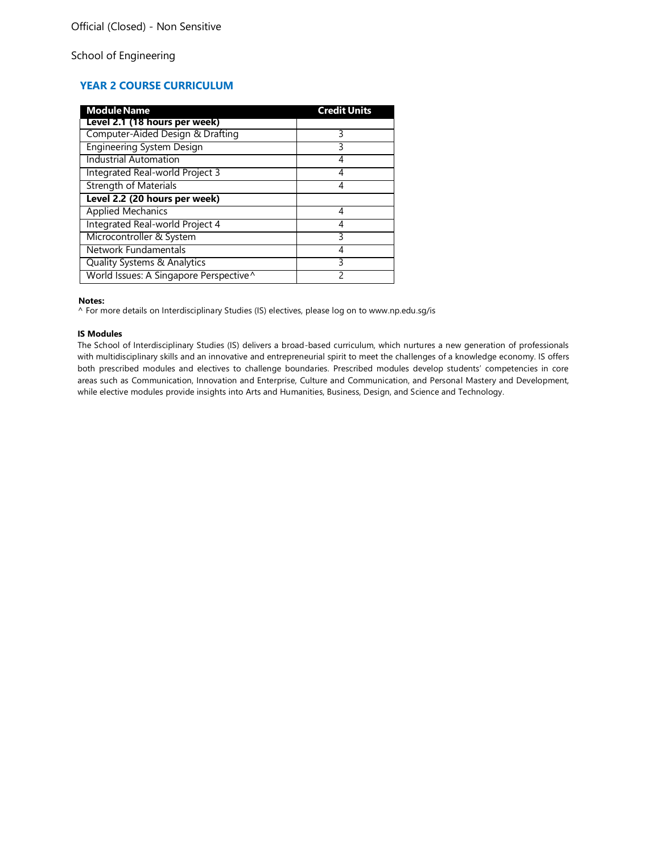# **YEAR 2 COURSE CURRICULUM**

| <b>Module Name</b>                     | <b>Credit Units</b> |
|----------------------------------------|---------------------|
| Level 2.1 (18 hours per week)          |                     |
| Computer-Aided Design & Drafting       | 3                   |
| <b>Engineering System Design</b>       | 3                   |
| <b>Industrial Automation</b>           | 4                   |
| Integrated Real-world Project 3        | 4                   |
| <b>Strength of Materials</b>           | 4                   |
| Level 2.2 (20 hours per week)          |                     |
| <b>Applied Mechanics</b>               | 4                   |
| Integrated Real-world Project 4        | 4                   |
| Microcontroller & System               | 3                   |
| Network Fundamentals                   |                     |
| Quality Systems & Analytics            | ς                   |
| World Issues: A Singapore Perspective^ |                     |

#### **Notes:**

[^ For more details on Interdisciplinary Studies \(IS\) electives, please log on to www.np.edu.sg/is](http://www.np.edu.sg/is)

#### **IS Modules**

The School of Interdisciplinary Studies (IS) delivers a broad-based curriculum, which nurtures a new generation of professionals with multidisciplinary skills and an innovative and entrepreneurial spirit to meet the challenges of a knowledge economy. IS offers both prescribed modules and electives to challenge boundaries. Prescribed modules develop students' competencies in core areas such as Communication, Innovation and Enterprise, Culture and Communication, and Personal Mastery and Development, while elective modules provide insights into Arts and Humanities, Business, Design, and Science and Technology.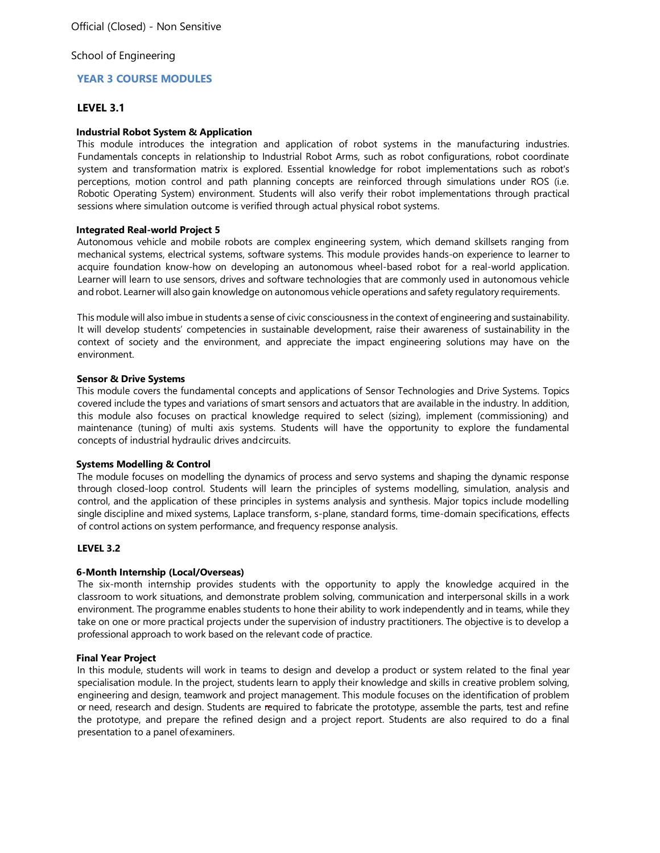## **YEAR 3 COURSE MODULES**

## **LEVEL 3.1**

## **Industrial Robot System & Application**

This module introduces the integration and application of robot systems in the manufacturing industries. Fundamentals concepts in relationship to Industrial Robot Arms, such as robot configurations, robot coordinate system and transformation matrix is explored. Essential knowledge for robot implementations such as robot's perceptions, motion control and path planning concepts are reinforced through simulations under ROS (i.e. Robotic Operating System) environment. Students will also verify their robot implementations through practical sessions where simulation outcome is verified through actual physical robot systems.

## **Integrated Real-world Project 5**

Autonomous vehicle and mobile robots are complex engineering system, which demand skillsets ranging from mechanical systems, electrical systems, software systems. This module provides hands-on experience to learner to acquire foundation know-how on developing an autonomous wheel-based robot for a real-world application. Learner will learn to use sensors, drives and software technologies that are commonly used in autonomous vehicle and robot. Learner will also gain knowledge on autonomous vehicle operations and safety regulatory requirements.

This module will also imbue in students a sense of civic consciousness in the context of engineering and sustainability. It will develop students' competencies in sustainable development, raise their awareness of sustainability in the context of society and the environment, and appreciate the impact engineering solutions may have on the environment.

### **Sensor & Drive Systems**

This module covers the fundamental concepts and applications of Sensor Technologies and Drive Systems. Topics covered include the types and variations of smart sensors and actuators that are available in the industry. In addition, this module also focuses on practical knowledge required to select (sizing), implement (commissioning) and maintenance (tuning) of multi axis systems. Students will have the opportunity to explore the fundamental concepts of industrial hydraulic drives andcircuits.

### **Systems Modelling & Control**

The module focuses on modelling the dynamics of process and servo systems and shaping the dynamic response through closed-loop control. Students will learn the principles of systems modelling, simulation, analysis and control, and the application of these principles in systems analysis and synthesis. Major topics include modelling single discipline and mixed systems, Laplace transform, s-plane, standard forms, time-domain specifications, effects of control actions on system performance, and frequency response analysis.

## **LEVEL 3.2**

## **6-Month Internship (Local/Overseas)**

The six-month internship provides students with the opportunity to apply the knowledge acquired in the classroom to work situations, and demonstrate problem solving, communication and interpersonal skills in a work environment. The programme enables students to hone their ability to work independently and in teams, while they take on one or more practical projects under the supervision of industry practitioners. The objective is to develop a professional approach to work based on the relevant code of practice.

### **Final Year Project**

In this module, students will work in teams to design and develop a product or system related to the final year specialisation module. In the project, students learn to apply their knowledge and skills in creative problem solving, engineering and design, teamwork and project management. This module focuses on the identification of problem or need, research and design. Students are required to fabricate the prototype, assemble the parts, test and refine the prototype, and prepare the refined design and a project report. Students are also required to do a final presentation to a panel ofexaminers.